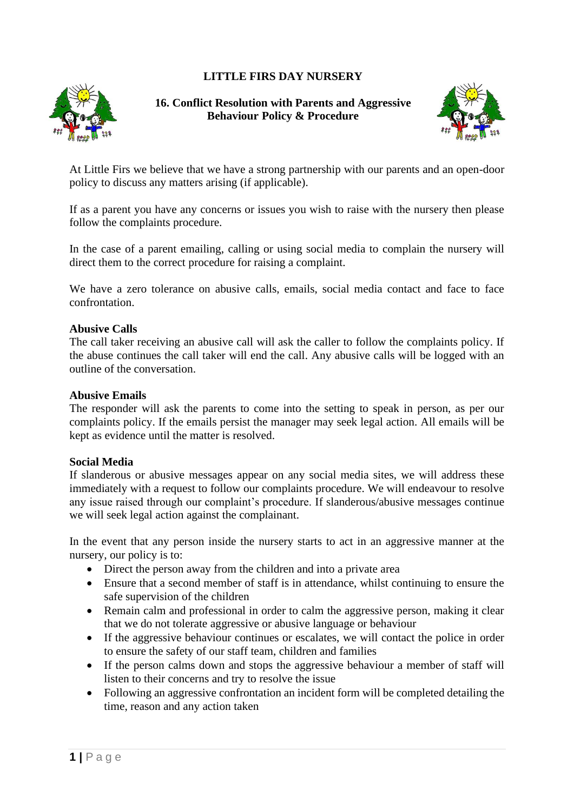## **LITTLE FIRS DAY NURSERY**



**16. Conflict Resolution with Parents and Aggressive Behaviour Policy & Procedure**



At Little Firs we believe that we have a strong partnership with our parents and an open-door policy to discuss any matters arising (if applicable).

If as a parent you have any concerns or issues you wish to raise with the nursery then please follow the complaints procedure.

In the case of a parent emailing, calling or using social media to complain the nursery will direct them to the correct procedure for raising a complaint.

We have a zero tolerance on abusive calls, emails, social media contact and face to face confrontation.

## **Abusive Calls**

The call taker receiving an abusive call will ask the caller to follow the complaints policy. If the abuse continues the call taker will end the call. Any abusive calls will be logged with an outline of the conversation.

## **Abusive Emails**

The responder will ask the parents to come into the setting to speak in person, as per our complaints policy. If the emails persist the manager may seek legal action. All emails will be kept as evidence until the matter is resolved.

## **Social Media**

If slanderous or abusive messages appear on any social media sites, we will address these immediately with a request to follow our complaints procedure. We will endeavour to resolve any issue raised through our complaint's procedure. If slanderous/abusive messages continue we will seek legal action against the complainant.

In the event that any person inside the nursery starts to act in an aggressive manner at the nursery, our policy is to:

- Direct the person away from the children and into a private area
- Ensure that a second member of staff is in attendance, whilst continuing to ensure the safe supervision of the children
- Remain calm and professional in order to calm the aggressive person, making it clear that we do not tolerate aggressive or abusive language or behaviour
- If the aggressive behaviour continues or escalates, we will contact the police in order to ensure the safety of our staff team, children and families
- If the person calms down and stops the aggressive behaviour a member of staff will listen to their concerns and try to resolve the issue
- Following an aggressive confrontation an incident form will be completed detailing the time, reason and any action taken